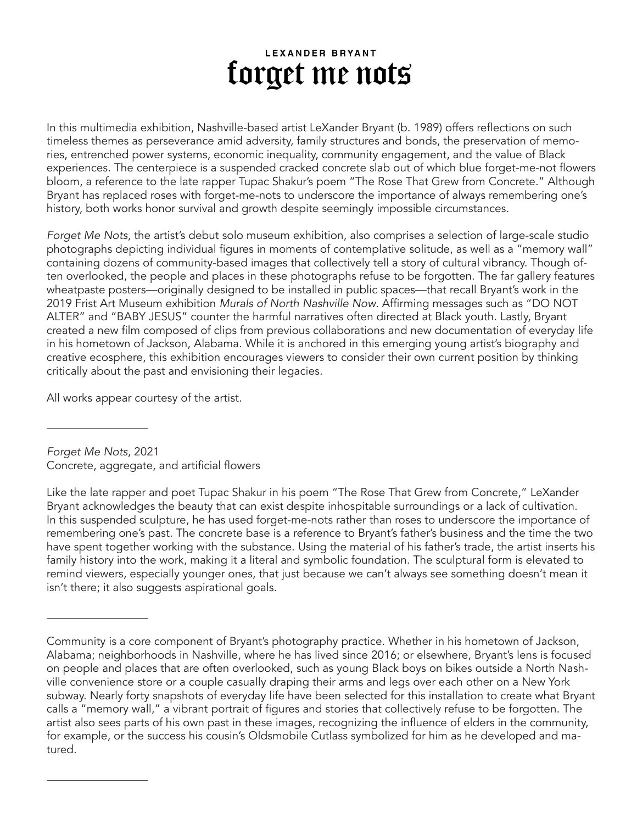## **LEXANDER BRYANT** forget me nots

In this multimedia exhibition, Nashville-based artist LeXander Bryant (b. 1989) offers reflections on such timeless themes as perseverance amid adversity, family structures and bonds, the preservation of memories, entrenched power systems, economic inequality, community engagement, and the value of Black experiences. The centerpiece is a suspended cracked concrete slab out of which blue forget-me-not flowers bloom, a reference to the late rapper Tupac Shakur's poem "The Rose That Grew from Concrete." Although Bryant has replaced roses with forget-me-nots to underscore the importance of always remembering one's history, both works honor survival and growth despite seemingly impossible circumstances.

*Forget Me Nots*, the artist's debut solo museum exhibition, also comprises a selection of large-scale studio photographs depicting individual figures in moments of contemplative solitude, as well as a "memory wall" containing dozens of community-based images that collectively tell a story of cultural vibrancy. Though often overlooked, the people and places in these photographs refuse to be forgotten. The far gallery features wheatpaste posters—originally designed to be installed in public spaces—that recall Bryant's work in the 2019 Frist Art Museum exhibition *Murals of North Nashville Now*. Affirming messages such as "DO NOT ALTER" and "BABY JESUS" counter the harmful narratives often directed at Black youth. Lastly, Bryant created a new film composed of clips from previous collaborations and new documentation of everyday life in his hometown of Jackson, Alabama. While it is anchored in this emerging young artist's biography and creative ecosphere, this exhibition encourages viewers to consider their own current position by thinking critically about the past and envisioning their legacies.

All works appear courtesy of the artist.

*Forget Me Nots*, 2021 Concrete, aggregate, and artificial flowers

Like the late rapper and poet Tupac Shakur in his poem "The Rose That Grew from Concrete," LeXander Bryant acknowledges the beauty that can exist despite inhospitable surroundings or a lack of cultivation. In this suspended sculpture, he has used forget-me-nots rather than roses to underscore the importance of remembering one's past. The concrete base is a reference to Bryant's father's business and the time the two have spent together working with the substance. Using the material of his father's trade, the artist inserts his family history into the work, making it a literal and symbolic foundation. The sculptural form is elevated to remind viewers, especially younger ones, that just because we can't always see something doesn't mean it isn't there; it also suggests aspirational goals.

Community is a core component of Bryant's photography practice. Whether in his hometown of Jackson, Alabama; neighborhoods in Nashville, where he has lived since 2016; or elsewhere, Bryant's lens is focused on people and places that are often overlooked, such as young Black boys on bikes outside a North Nashville convenience store or a couple casually draping their arms and legs over each other on a New York subway. Nearly forty snapshots of everyday life have been selected for this installation to create what Bryant calls a "memory wall," a vibrant portrait of figures and stories that collectively refuse to be forgotten. The artist also sees parts of his own past in these images, recognizing the influence of elders in the community, for example, or the success his cousin's Oldsmobile Cutlass symbolized for him as he developed and matured.